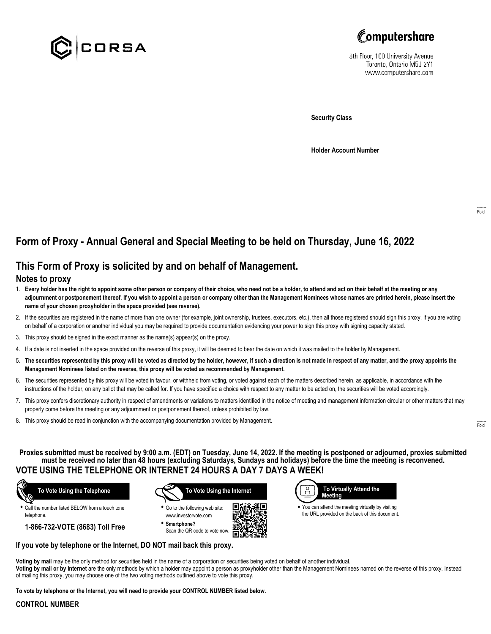



8th Floor, 100 University Avenue Toronto, Ontario M5J 2Y1 www.computershare.com

**Security Class**

**Holder Account Number**

# **Form of Proxy - Annual General and Special Meeting to be held on Thursday, June 16, 2022**

# **This Form of Proxy is solicited by and on behalf of Management.**

### **Notes to proxy**

- 1. **Every holder has the right to appoint some other person or company of their choice, who need not be a holder, to attend and act on their behalf at the meeting or any adjournment or postponement thereof. If you wish to appoint a person or company other than the Management Nominees whose names are printed herein, please insert the name of your chosen proxyholder in the space provided (see reverse).**
- 2. If the securities are registered in the name of more than one owner (for example, joint ownership, trustees, executors, etc.), then all those registered should sign this proxy. If you are voting on behalf of a corporation or another individual you may be required to provide documentation evidencing your power to sign this proxy with signing capacity stated.
- 3. This proxy should be signed in the exact manner as the name(s) appear(s) on the proxy.
- 4. If a date is not inserted in the space provided on the reverse of this proxy, it will be deemed to bear the date on which it was mailed to the holder by Management.
- 5. **The securities represented by this proxy will be voted as directed by the holder, however, if such a direction is not made in respect of any matter, and the proxy appoints the Management Nominees listed on the reverse, this proxy will be voted as recommended by Management.**
- 6. The securities represented by this proxy will be voted in favour, or withheld from voting, or voted against each of the matters described herein, as applicable, in accordance with the instructions of the holder, on any ballot that may be called for. If you have specified a choice with respect to any matter to be acted on, the securities will be voted accordingly.
- 7. This proxy confers discretionary authority in respect of amendments or variations to matters identified in the notice of meeting and management information circular or other matters that may properly come before the meeting or any adjournment or postponement thereof, unless prohibited by law.
- 8. This proxy should be read in conjunction with the accompanying documentation provided by Management.

**Proxies submitted must be received by 9:00 a.m. (EDT) on Tuesday, June 14, 2022. If the meeting is postponed or adjourned, proxies submitted must be received no later than 48 hours (excluding Saturdays, Sundays and holidays) before the time the meeting is reconvened. VOTE USING THE TELEPHONE OR INTERNET 24 HOURS A DAY 7 DAYS A WEEK!**

г



**•** Call the number listed BELOW from a touch tone telephone.

**1-866-732-VOTE (8683) Toll Free**



**•** Go to the following web site: www.investorvote.com **• Smartphone?**

Scan the QR code to vote now.



**•** You can attend the meeting virtually by visiting the URL provided on the back of this document.

#### **If you vote by telephone or the Internet, DO NOT mail back this proxy.**

**Voting by mail** may be the only method for securities held in the name of a corporation or securities being voted on behalf of another individual. **Voting by mail or by Internet** are the only methods by which a holder may appoint a person as proxyholder other than the Management Nominees named on the reverse of this proxy. Instead of mailing this proxy, you may choose one of the two voting methods outlined above to vote this proxy.

**To vote by telephone or the Internet, you will need to provide your CONTROL NUMBER listed below.**

#### **CONTROL NUMBER**